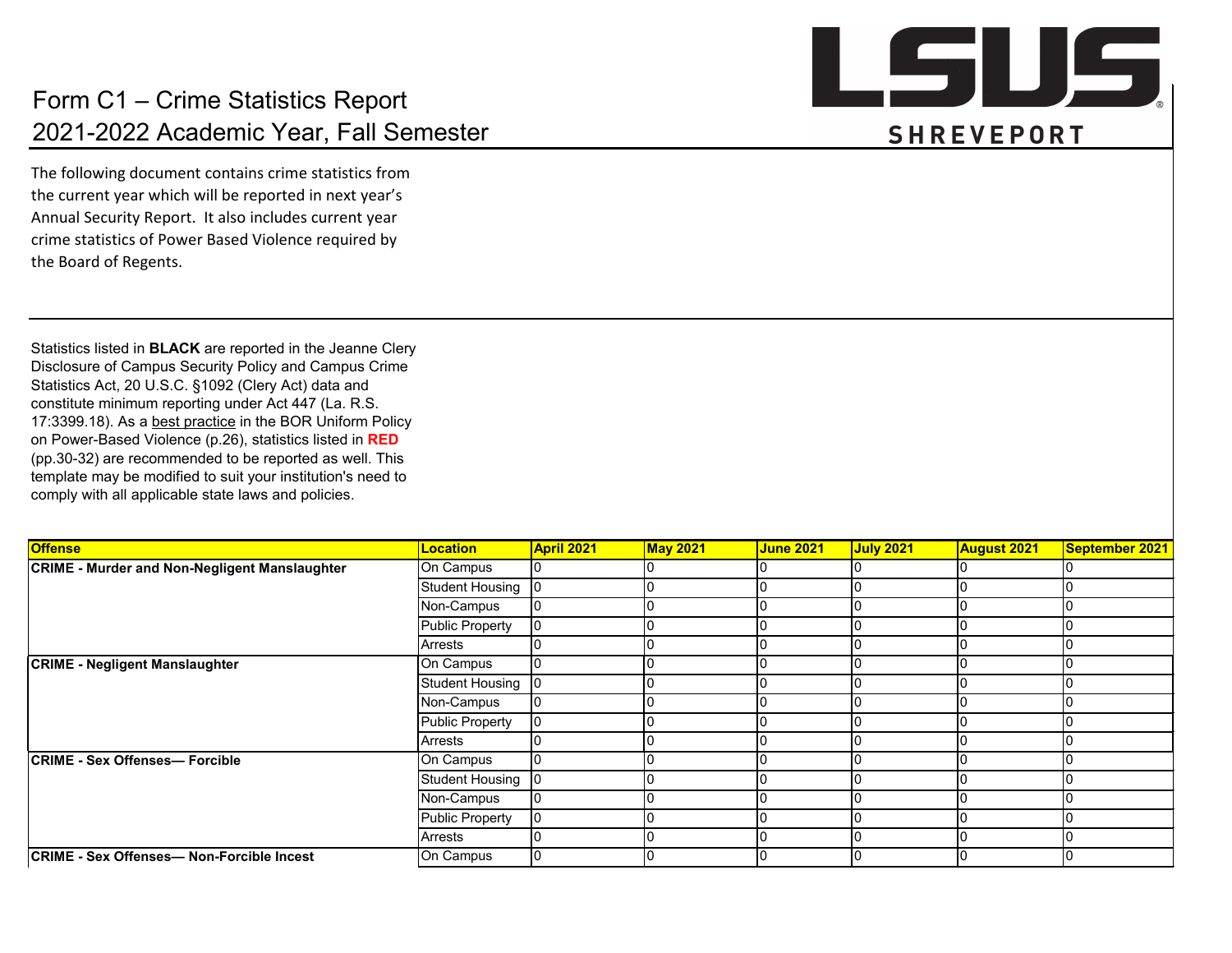The following document contains crime statistics from the current year which will be reported in next year's Annual Security Report. It also includes current year crime statistics of Power Based Violence required by the Board of Regents.

Statistics listed in **BLACK** are reported in the Jeanne Clery Disclosure of Campus Security Policy and Campus Crime Statistics Act, 20 U.S.C. §1092 (Clery Act) data and constitute minimum reporting under Act 447 (La. R.S. 17:3399.18). As a best practice in the BOR Uniform Policy on Power-Based Violence (p.26), statistics listed in **RED**  (pp.30-32) are recommended to be reported as well. This template may be modified to suit your institution's need to comply with all applicable state laws and policies.

| <b>Offense</b>                                       | <b>Location</b>                                                                                                                                                                                            | <b>April 2021</b> | <b>May 2021</b> | <b>June 2021</b> | July 2021 | <b>August 2021</b> | <b>September 2021</b> |
|------------------------------------------------------|------------------------------------------------------------------------------------------------------------------------------------------------------------------------------------------------------------|-------------------|-----------------|------------------|-----------|--------------------|-----------------------|
| <b>CRIME - Murder and Non-Negligent Manslaughter</b> |                                                                                                                                                                                                            |                   |                 |                  |           |                    |                       |
|                                                      | <b>Student Housing</b>                                                                                                                                                                                     |                   |                 |                  |           |                    |                       |
|                                                      | Non-Campus                                                                                                                                                                                                 |                   |                 |                  |           |                    |                       |
|                                                      |                                                                                                                                                                                                            |                   |                 |                  |           |                    |                       |
|                                                      | <b>Arrests</b>                                                                                                                                                                                             |                   |                 |                  |           |                    |                       |
| <b>CRIME - Negligent Manslaughter</b>                |                                                                                                                                                                                                            |                   |                 |                  |           |                    |                       |
|                                                      | <b>Student Housing</b>                                                                                                                                                                                     |                   |                 |                  |           |                    |                       |
|                                                      |                                                                                                                                                                                                            |                   |                 |                  |           |                    |                       |
|                                                      |                                                                                                                                                                                                            |                   |                 |                  |           |                    |                       |
|                                                      | On Campus<br><b>Public Property</b><br>On Campus<br>Non-Campus<br>Public Property<br>Arrests<br>On Campus<br><b>Student Housing</b><br>Non-Campus<br><b>Public Property</b><br><b>Arrests</b><br>On Campus |                   |                 |                  |           |                    |                       |
| <b>CRIME - Sex Offenses- Forcible</b>                |                                                                                                                                                                                                            |                   |                 |                  |           |                    |                       |
|                                                      |                                                                                                                                                                                                            |                   |                 |                  |           |                    |                       |
|                                                      |                                                                                                                                                                                                            |                   |                 |                  |           |                    |                       |
|                                                      |                                                                                                                                                                                                            |                   |                 |                  |           |                    | IΟ                    |
|                                                      |                                                                                                                                                                                                            |                   |                 |                  |           |                    |                       |
| <b>CRIME - Sex Offenses- Non-Forcible Incest</b>     |                                                                                                                                                                                                            |                   |                 |                  |           |                    |                       |

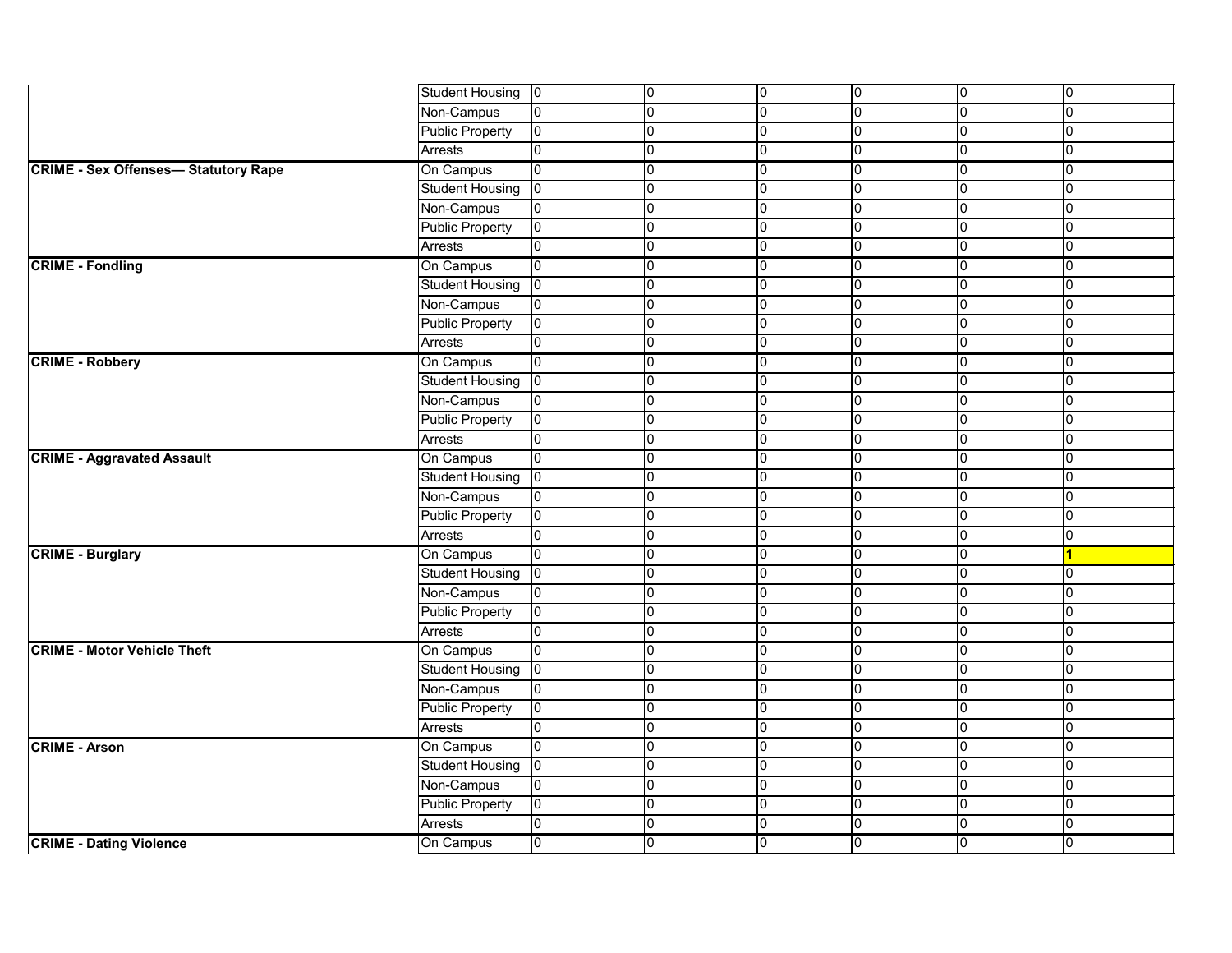|                                            | <b>Student Housing</b> | $\overline{0}$  | 10             | 0         | 0              | 0              | 0              |
|--------------------------------------------|------------------------|-----------------|----------------|-----------|----------------|----------------|----------------|
|                                            | Non-Campus             | 0               | 0              | 0         | 0              | 0              | $\overline{0}$ |
|                                            | <b>Public Property</b> | $ 0\rangle$     | 0              | 0         | $\overline{0}$ | 0              | $\overline{0}$ |
|                                            | Arrests                | 0               | 0              | 0         | 0              | 0              | $\overline{0}$ |
| <b>CRIME - Sex Offenses-Statutory Rape</b> | On Campus              | $\overline{0}$  | 10             | U         | 0              | 0              | $\overline{0}$ |
|                                            | Student Housing        | $ 0\rangle$     | 0              | 0         | 0              | 0              | $\overline{0}$ |
|                                            | Non-Campus             | 0               | 0              | 0         | 0              | 0              | $\overline{0}$ |
|                                            | Public Property        | 10              | 0              | 0         | $\overline{0}$ | $\overline{0}$ | $\overline{0}$ |
|                                            | <b>Arrests</b>         | l0              | 0              | U         | 0              | 0              | $\overline{0}$ |
| <b>CRIME - Fondling</b>                    | On Campus              | $\overline{0}$  | 10             | 0         | 0              | 0              | $\overline{0}$ |
|                                            | Student Housing        | $ 0\rangle$     | $\overline{0}$ | 0         | l0             | 0              | $\overline{0}$ |
|                                            | Non-Campus             | 0               | 0              | 0         | 0              | 0              | $\overline{0}$ |
|                                            | <b>Public Property</b> | 10              | 0              | 0         | $\overline{0}$ | $\overline{0}$ | $\overline{0}$ |
|                                            | <b>Arrests</b>         | 0               | 0              | 0         | l0             | 0              | $\overline{0}$ |
| <b>CRIME - Robbery</b>                     | On Campus              | 10              | 10             | 0         | 0              | 0              | 0              |
|                                            | <b>Student Housing</b> | $ 0\rangle$     | $\overline{0}$ | 0         | l0             | 0              | $\overline{0}$ |
|                                            | Non-Campus             | 0               | 0              | 0         | 0              | 0              | $\overline{0}$ |
|                                            | Public Property        | 10              | 0              | 0         | l0             | $\overline{0}$ | $\overline{0}$ |
|                                            | <b>Arrests</b>         | l0              | 0              | 0         | 0              | 0              | $\overline{0}$ |
| <b>CRIME - Aggravated Assault</b>          | On Campus              | $ 0\rangle$     | 10             | 0         | 0              | 0              | $\overline{0}$ |
|                                            | <b>Student Housing</b> | $ 0\rangle$     | $\overline{0}$ | 0         | 0              | 0              | $\overline{0}$ |
|                                            | Non-Campus             | 0               | 0              | 0         | 0              | 0              | $\overline{0}$ |
|                                            | <b>Public Property</b> | $ 0\rangle$     | l0             | 0         | l0             | $\overline{0}$ | $\overline{0}$ |
|                                            | <b>Arrests</b>         | 0               | $\overline{0}$ | 0         | 0              | 0              | $\overline{0}$ |
| <b>CRIME - Burglary</b>                    | On Campus              | l0              | 10             | 0         | 0              | 0              |                |
|                                            | <b>Student Housing</b> | $ 0\rangle$     | $\overline{0}$ | 0         | $\overline{0}$ | 0              | $\overline{0}$ |
|                                            | Non-Campus             | 0               | 0              | 0         | 0              | 0              | $\overline{0}$ |
|                                            | <b>Public Property</b> | 10              | l0             | 0         | $\overline{0}$ | $\overline{0}$ | $\overline{0}$ |
|                                            | <b>Arrests</b>         | $\overline{0}$  | 0              | $\pmb{0}$ | $\Omega$<br>ש  | $\overline{0}$ | $ 0\rangle$    |
| <b>CRIME - Motor Vehicle Theft</b>         | On Campus              | $\overline{10}$ | $\overline{0}$ | 0         | O              | $\overline{0}$ | $\overline{0}$ |
|                                            | Student Housing        | $ 0\rangle$     | $\overline{0}$ | 0         | $\overline{0}$ | 0              | $\overline{0}$ |
|                                            | Non-Campus             | 0               | 0              | 0         | 0              | 0              | $\overline{0}$ |
|                                            | <b>Public Property</b> | $ 0\rangle$     | 0              | 0         | 0              | 0              | $\overline{0}$ |
|                                            | Arrests                | 0               | 10             | 0         | 0              | 0              | $\overline{0}$ |
| <b>CRIME - Arson</b>                       | On Campus              | $ 0\rangle$     | 0              | 0         | 0              | 0              | $\overline{0}$ |
|                                            | <b>Student Housing</b> | $ 0\rangle$     | 10             | 0         | $\overline{0}$ | $\overline{0}$ | $\overline{0}$ |
|                                            | Non-Campus             | $ 0\rangle$     | 10             | 0         | 0              | $\overline{0}$ | $\overline{0}$ |
|                                            | <b>Public Property</b> | $ 0\rangle$     | 0              | 0         | 0              | U              | $\overline{0}$ |
|                                            | Arrests                | $\overline{0}$  | 10             | 0         | $\overline{0}$ | 0              | $\overline{0}$ |
| <b>CRIME - Dating Violence</b>             | On Campus              | $ 0\rangle$     | l0             | 0         | $\overline{0}$ | 0              | $\overline{0}$ |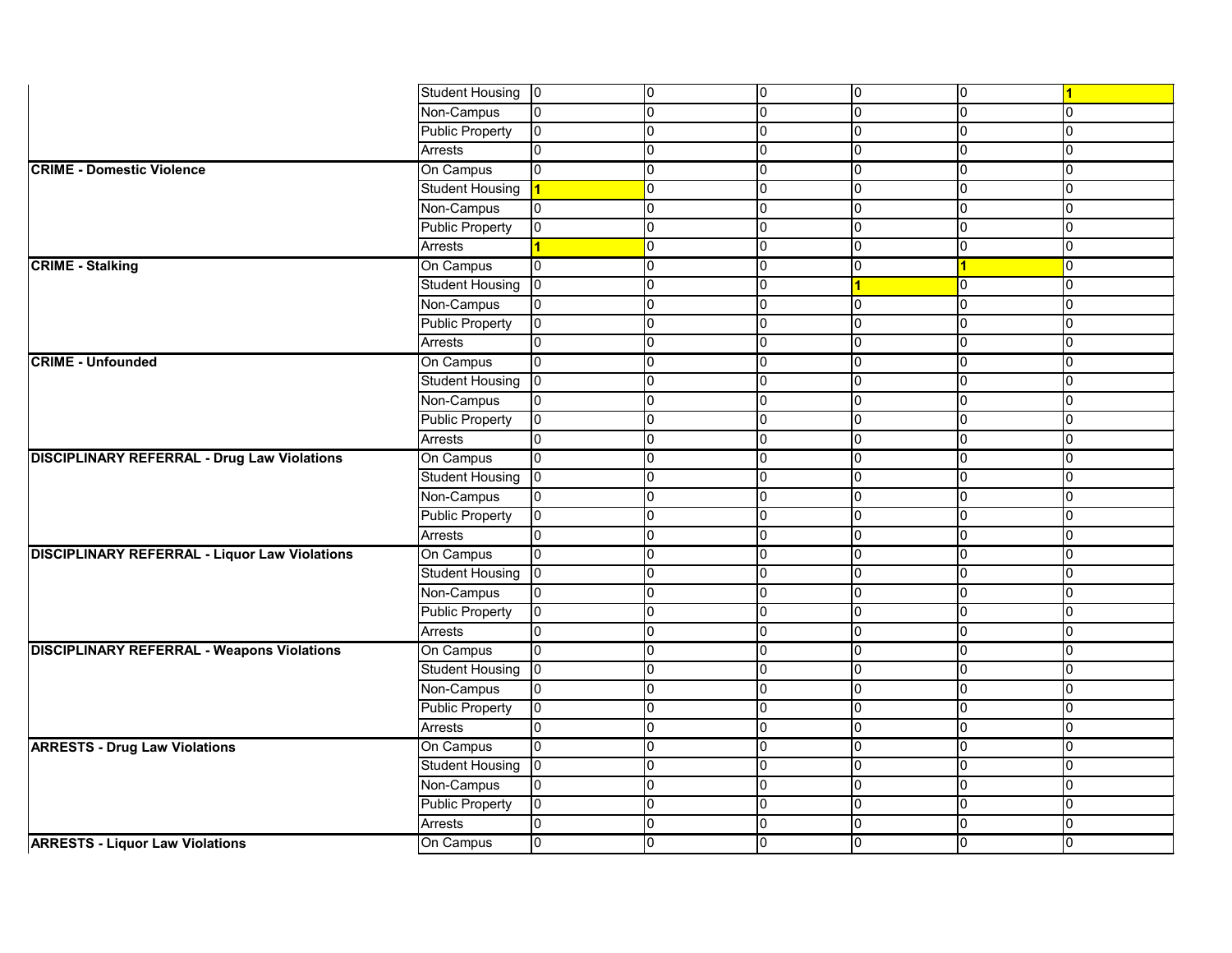|                                                      | <b>Student Housing</b> | 10             | 10             | 0              | 0              | $\overline{0}$ |                |
|------------------------------------------------------|------------------------|----------------|----------------|----------------|----------------|----------------|----------------|
|                                                      | Non-Campus             | 0              | 0              | 0              | 10             | 0              | 0              |
|                                                      | <b>Public Property</b> | 0              | $\overline{0}$ | $\overline{0}$ | 0              | 0              | $\mathbf 0$    |
|                                                      | <b>Arrests</b>         |                | 0              | 0              | 0              | 0              | $\overline{0}$ |
| <b>CRIME - Domestic Violence</b>                     | On Campus              |                | 10             | 0              | 10             | $\Omega$       | 0              |
|                                                      | <b>Student Housing</b> |                | 0              | 0              | 0              | 0              | $\Omega$       |
|                                                      | Non-Campus             | 0              | 0              | 0              | 10             | 0              | $\overline{0}$ |
|                                                      | <b>Public Property</b> |                | $\overline{0}$ | $\overline{0}$ | 0              | 0              | $\overline{0}$ |
|                                                      | <b>Arrests</b>         |                | 0              | 0              | 0              | 0              | $\overline{0}$ |
| <b>CRIME - Stalking</b>                              | On Campus              |                | 10             | 0              | 10             |                |                |
|                                                      | Student Housing        | 0              | 0              | 0              |                | 0              | $\overline{0}$ |
|                                                      | Non-Campus             | 0              | 0              | $\overline{0}$ | 10             | 0              | $\overline{0}$ |
|                                                      | <b>Public Property</b> | 0              | 0              | $\overline{0}$ | 0              | 0              | $\mathbf 0$    |
|                                                      | <b>Arrests</b>         |                | 10             | $\overline{0}$ | 0              | n              | $\Omega$       |
| <b>CRIME - Unfounded</b>                             | On Campus              | 0              | 10             | 0              | 0              | 0              | <sup>n</sup>   |
|                                                      | <b>Student Housing</b> |                | 0              | 0              | 0              | U              | n              |
|                                                      | Non-Campus             | 0              | 0              | $\overline{0}$ | 0              | 0              | n.             |
|                                                      | Public Property        | 0              | l0             | 0              | 10             | 0              | $\overline{0}$ |
|                                                      | Arrests                |                | 10             | $\overline{0}$ | 0              | 0              | 0              |
| <b>DISCIPLINARY REFERRAL - Drug Law Violations</b>   | On Campus              | 0              | 0              | 0              | 0              |                | n              |
|                                                      | <b>Student Housing</b> |                | 0              | $\overline{0}$ | 0              | 0              | $\overline{0}$ |
|                                                      | Non-Campus             | 0              | 0              | $\overline{0}$ | 0              | 0              | $\overline{0}$ |
|                                                      | <b>Public Property</b> | 0              | l0             | 0              | 0              | 0              | $\overline{0}$ |
|                                                      | <b>Arrests</b>         |                | 10             | $\overline{0}$ | 0              | 0              | n              |
| <b>DISCIPLINARY REFERRAL - Liquor Law Violations</b> | On Campus              | 0              | 0              | 0              | 10             | 0              | <sup>n</sup>   |
|                                                      | <b>Student Housing</b> |                | $\overline{0}$ | $\overline{0}$ | 0              | 0              | $\pmb{0}$      |
|                                                      | Non-Campus             | 0              | 0              | $\overline{0}$ | 0              | 0              | $\overline{0}$ |
|                                                      | <b>Public Property</b> | 0              | l0             | 0              | 0              | 0              | $\overline{0}$ |
|                                                      | <b>Arrests</b>         | $\Omega$<br>v. | $\Omega$<br>v  | $\sim$<br>ιv   | $\Omega$<br>v  | U<br>v         | U              |
| <b>DISCIPLINARY REFERRAL - Weapons Violations</b>    | On Campus              | $\overline{0}$ | $\overline{0}$ | 0              | $\overline{0}$ | $\overline{0}$ | $\overline{0}$ |
|                                                      | <b>Student Housing</b> |                | l0             | $\overline{0}$ | 0              | 0              | $\pmb{0}$      |
|                                                      | Non-Campus             | 0              | 0              | $\overline{0}$ | 0              | 0              | 0              |
|                                                      | <b>Public Property</b> | 0              | 0              | $\overline{0}$ | 10             | 0              | 0              |
|                                                      | Arrests                |                | 10             | $\overline{0}$ | 0              | 0              | $\overline{0}$ |
| <b>ARRESTS - Drug Law Violations</b>                 | On Campus              | 0              | 0              | $\overline{0}$ | 10             | 0              | $\mathbf 0$    |
|                                                      | <b>Student Housing</b> |                | 0              | $\overline{0}$ | 0              | 0              | $\mathbf 0$    |
|                                                      | Non-Campus             | 0              | 10             | $\overline{0}$ | 10             | 0              | $\overline{0}$ |
|                                                      | <b>Public Property</b> | 0              | 10             | $\overline{0}$ | 10             | 0              | $\overline{0}$ |
|                                                      | Arrests                | 0              | 10             | $\overline{0}$ | 0              | 0              | $\pmb{0}$      |
| <b>ARRESTS - Liquor Law Violations</b>               | On Campus              | 0              | $\overline{0}$ | $\overline{0}$ | $\overline{0}$ | 0              | $\overline{0}$ |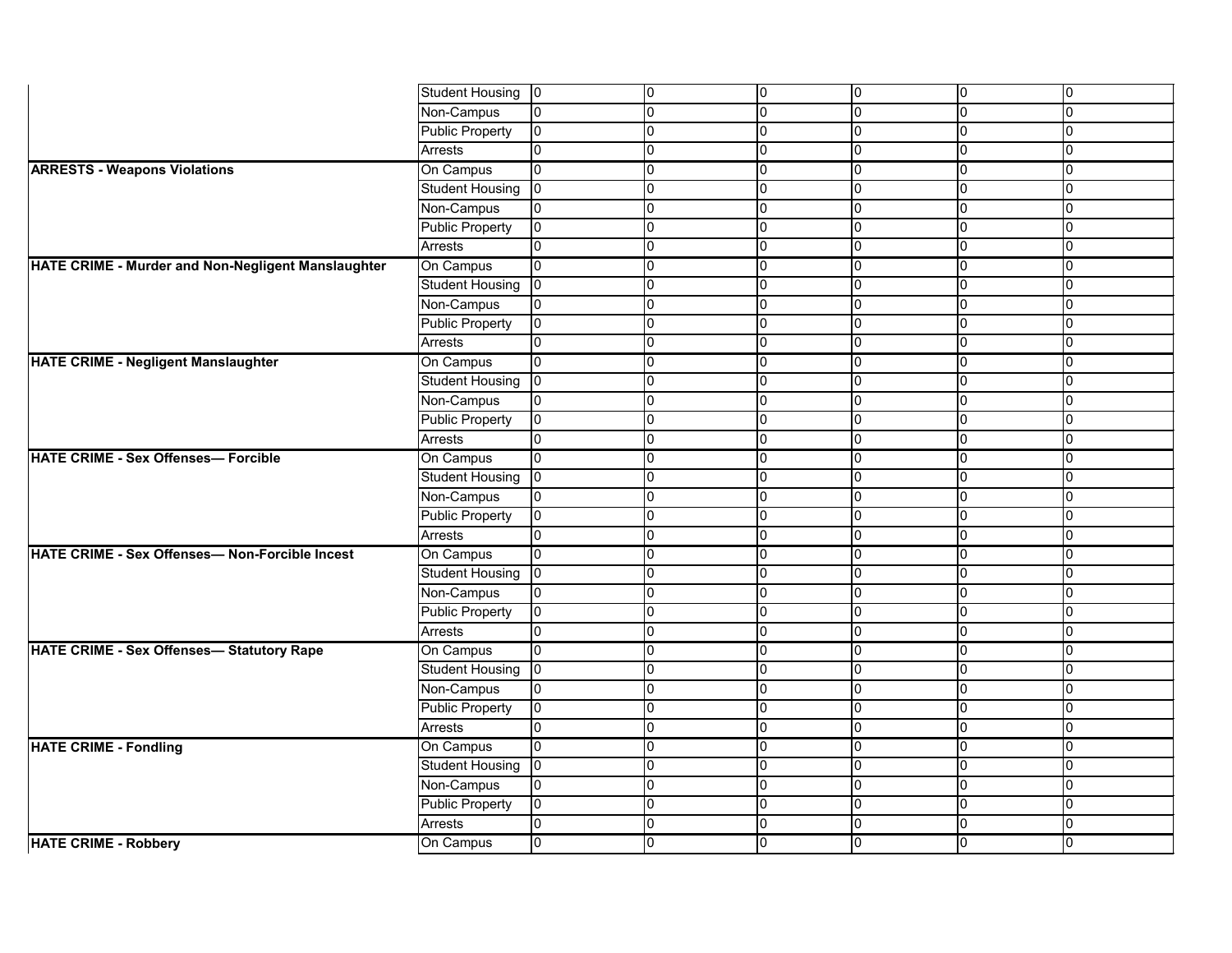|                                                    | <b>Student Housing</b> | $ 0\rangle$    |                | 0              | 0              | 0            | $\overline{0}$ |
|----------------------------------------------------|------------------------|----------------|----------------|----------------|----------------|--------------|----------------|
|                                                    | Non-Campus             | 0              | n              | 0              | $\overline{0}$ | 0            | 0              |
|                                                    | <b>Public Property</b> | l0             |                | 0              | $\Omega$       | 0            | $\pmb{0}$      |
|                                                    | Arrests                | 0              | n              | 0              | <sup>n</sup>   | U            | $\overline{0}$ |
| <b>ARRESTS - Weapons Violations</b>                | On Campus              | l0             | n              | $\mathbf 0$    | ∩              | 0            | 0              |
|                                                    | <b>Student Housing</b> | lo             | n              | 0              | n              | O            | $\overline{0}$ |
|                                                    | Non-Campus             | 0              |                | $\mathbf 0$    | $\cap$         |              | $\overline{0}$ |
|                                                    | <b>Public Property</b> | l0             | n              | 0              | $\Omega$       | 0            | $\pmb{0}$      |
|                                                    | Arrests                | $\Omega$       | n              | 0              | n              | U            | 0              |
| HATE CRIME - Murder and Non-Negligent Manslaughter | On Campus              | l0             |                | 0              | ∩              | O            | 0              |
|                                                    | <b>Student Housing</b> | $\overline{0}$ | n              | 0              | $\cap$         | O            | 0              |
|                                                    | Non-Campus             | 0              | n              | $\mathbf 0$    | <sup>0</sup>   | 0            | $\overline{0}$ |
|                                                    | <b>Public Property</b> | l0             | n              | 0              | $\Omega$       | 0            | $\pmb{0}$      |
|                                                    | Arrests                | l0             |                | 0              | n              |              | $\overline{0}$ |
| <b>HATE CRIME - Negligent Manslaughter</b>         | On Campus              | 0              | n              | 0              | n              | O            | 0              |
|                                                    | <b>Student Housing</b> | l0             |                | 0              | n              | O            | 0              |
|                                                    | Non-Campus             | 0              |                | 0              | n              | O            | $\overline{0}$ |
|                                                    | <b>Public Property</b> | 10             | n              | 0              | <sup>n</sup>   | O            | $\overline{0}$ |
|                                                    | Arrests                | $\mathbf 0$    | n              | 0              | $\Omega$       | O            | 0              |
| <b>HATE CRIME - Sex Offenses- Forcible</b>         | On Campus              | 0              |                | 0              | $\cap$         |              | 0              |
|                                                    | <b>Student Housing</b> | l0             |                | 0              |                |              | $\pmb{0}$      |
|                                                    | Non-Campus             | 0              | n              | 0              | <sup>n</sup>   | O            | 0              |
|                                                    | <b>Public Property</b> | 10             | n              | $\mathbf 0$    | $\Omega$       | U            | 0              |
|                                                    | Arrests                | l0             |                | 0              | n              |              | 0              |
| HATE CRIME - Sex Offenses-Non-Forcible Incest      | On Campus              | 10             | n              | 0              | n              | 0            | 0              |
|                                                    | <b>Student Housing</b> | $ 0\rangle$    | $\Omega$       | 0              | $\overline{0}$ | 0            | $\overline{0}$ |
|                                                    | Non-Campus             | 0              | n              | 0              | <sup>n</sup>   | O            | $\overline{0}$ |
|                                                    | Public Property        | 10             | n              | $\overline{0}$ | $\Omega$       | 0            | $\overline{0}$ |
|                                                    | Arrests                | ln.<br>יט      | $\Omega$<br>ιU | $\Omega$<br>v. | $\cap$<br>ιu   | v            | ln.<br>ιv      |
| <b>HATE CRIME - Sex Offenses- Statutory Rape</b>   | On Campus              | l0             | $\Omega$       | 0              | $\overline{0}$ | $\mathbf{0}$ | $\overline{0}$ |
|                                                    | <b>Student Housing</b> | $\overline{0}$ | $\Omega$       | 0              | $\mathbf 0$    | 0            | $\overline{0}$ |
|                                                    | Non-Campus             | $\overline{0}$ | $\Omega$       | 0              | 0              | 0            | $\overline{0}$ |
|                                                    | <b>Public Property</b> | 10             | $\Omega$       | 0              | $\overline{0}$ | 0            | $\overline{0}$ |
|                                                    | Arrests                | 0              | l              | 0              | $\overline{0}$ | O            | $\overline{0}$ |
| <b>HATE CRIME - Fondling</b>                       | On Campus              | 10             |                | 0              | l0             | 0            | $\overline{0}$ |
|                                                    | <b>Student Housing</b> | $\overline{0}$ | $\overline{0}$ | 0              | $\overline{0}$ | 0            | $\overline{0}$ |
|                                                    | Non-Campus             | $\overline{0}$ | $\Omega$       | 0              | $\overline{0}$ | 0            | $\overline{0}$ |
|                                                    | <b>Public Property</b> | 10             | l              | 0              | $\Omega$       | 0            | $\overline{0}$ |
|                                                    | Arrests                | 0              | $\overline{0}$ | 0              | $\overline{0}$ | 0            | $\overline{0}$ |
| <b>HATE CRIME - Robbery</b>                        | On Campus              | 0              | 0              | $\overline{0}$ | $\overline{0}$ | 0            | $\overline{0}$ |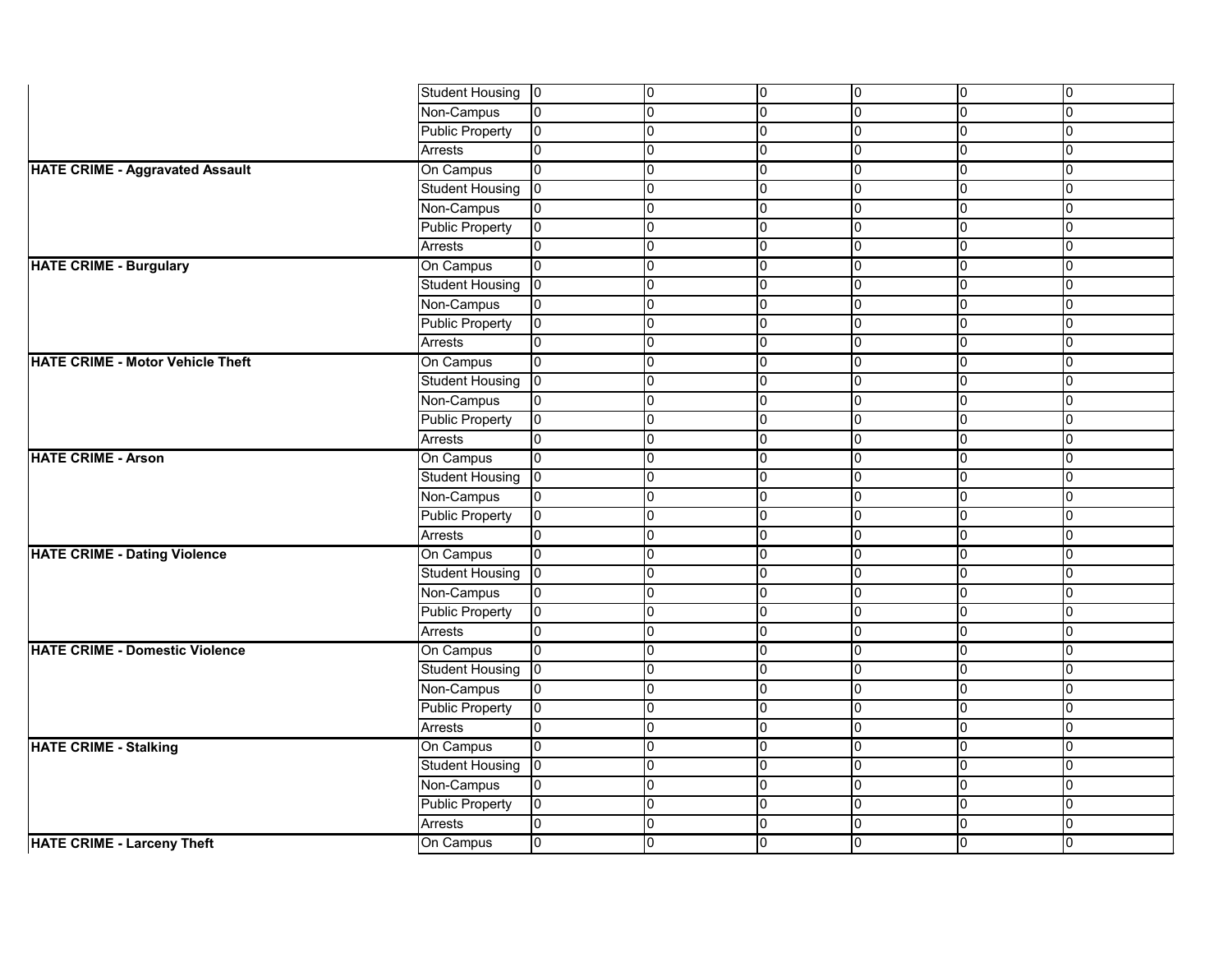|                                         | <b>Student Housing</b> | $ 0\rangle$    | 0           | 0              | 10             | 10             | 10             |
|-----------------------------------------|------------------------|----------------|-------------|----------------|----------------|----------------|----------------|
|                                         | Non-Campus             | 0              | l0          | $\overline{0}$ | 0              | 0              | $\overline{0}$ |
|                                         | <b>Public Property</b> | 10             | l0          | 0              | 0              | 0              | $\overline{0}$ |
|                                         | <b>Arrests</b>         | 0              | l0          | 0              | l0             | 0              | I0             |
| <b>HATE CRIME - Aggravated Assault</b>  | On Campus              | l0             | l0          | 0              | 10             | 0              | $\Omega$       |
|                                         | <b>Student Housing</b> | l0             | 0           | 0              | l0             | 0              | $\overline{0}$ |
|                                         | Non-Campus             | 0              | $\mathbf 0$ | $\overline{0}$ | l0             | 0              | $\overline{0}$ |
|                                         | <b>Public Property</b> | 10             | l0          | 0              | l0             | 0              | $\Omega$       |
|                                         | Arrests                | $\Omega$       | l0          | $\overline{0}$ | 10             | 0              | $\Omega$       |
| <b>HATE CRIME - Burgulary</b>           | On Campus              | 10             | 0           | 0              | 0              | 0              | $\overline{0}$ |
|                                         | <b>Student Housing</b> | l0             | l0          | $\overline{0}$ | 0              | 0              | $\overline{0}$ |
|                                         | Non-Campus             | 0              | l0          | $\overline{0}$ | 0              | 0              | $\overline{0}$ |
|                                         | <b>Public Property</b> | 10             | l0          | 0              | Iо             | l0             | $\Omega$       |
|                                         | Arrests                | 0              | l0          | $\overline{0}$ | l0             | 0              | $\overline{0}$ |
| <b>HATE CRIME - Motor Vehicle Theft</b> | On Campus              | 0              | 0           | $\overline{0}$ | 10             | 0              | 0              |
|                                         | <b>Student Housing</b> | 10             | l0          | $\overline{0}$ | 0              | 0              | $\overline{0}$ |
|                                         | Non-Campus             | 0              | $\mathbf 0$ | $\overline{0}$ | 10             | 0              | $\Omega$       |
|                                         | <b>Public Property</b> | 10             | l0          | $\overline{0}$ | 0              | 0              | 10             |
|                                         | Arrests                | $\mathbf{0}$   | 0           | 0              | 10             | 0              | $\overline{0}$ |
| <b>HATE CRIME - Arson</b>               | On Campus              | 10             | 0           | 0              | Iо             | 0              | I0             |
|                                         | <b>Student Housing</b> | I0             | l0          | $\overline{0}$ | l0             | 0              | $\overline{0}$ |
|                                         | Non-Campus             | 0              | 0           | 0              | 10             | 0              | 0              |
|                                         | <b>Public Property</b> | 10             | l0          | 0              | 10             | 0              | $\Omega$       |
|                                         | Arrests                | 0              | l0          | 0              | 10             | 0              | $\overline{0}$ |
| <b>HATE CRIME - Dating Violence</b>     | On Campus              | 0              | 0           | $\overline{0}$ | 10             | 0              | 0              |
|                                         | <b>Student Housing</b> | $ 0\rangle$    | l0          | 0              | 10             | 0              | $\overline{0}$ |
|                                         | Non-Campus             | 0              | 0           | $\overline{0}$ | 10             | 0              | $\Omega$       |
|                                         | <b>Public Property</b> | 10             | l0          | 0              | l0             | 0              | I٥             |
|                                         | <b>Arrests</b>         | $\overline{0}$ | ιυ          | 0              | 0              | יט             | ιv             |
| <b>HATE CRIME - Domestic Violence</b>   | On Campus              | l0             | l0          | $\overline{0}$ | $\overline{0}$ | 0              | l0             |
|                                         | <b>Student Housing</b> | $ 0\rangle$    | l0          | $\overline{0}$ | 10             | 0              | $\overline{0}$ |
|                                         | Non-Campus             | $\overline{0}$ | 0           | $\overline{0}$ | 10             | 0              | $\overline{0}$ |
|                                         | <b>Public Property</b> | 10             | 0           | $\overline{0}$ | 10             | 0              | $\overline{0}$ |
|                                         | Arrests                | $\Omega$       | 0           | $\overline{0}$ | 0              | $\overline{0}$ | 0              |
| <b>HATE CRIME - Stalking</b>            | On Campus              | 10             | 0           | $\overline{0}$ | 10             | 0              | 0              |
|                                         | <b>Student Housing</b> | $ 0\rangle$    | 0           | $\overline{0}$ | Iо             | 0              | 0              |
|                                         | Non-Campus             | 0              | 0           | $\overline{0}$ | 0              | 0              | $\overline{0}$ |
|                                         | <b>Public Property</b> | 10             | $\mathbf 0$ | 0              | 10             | 10             | $\Omega$       |
|                                         | Arrests                | 0              | 0           | $\overline{0}$ | 10             | 0              | $\overline{0}$ |
| <b>HATE CRIME - Larceny Theft</b>       | On Campus              | 10             | l0          | $\overline{0}$ | 10             | 0              | $\overline{0}$ |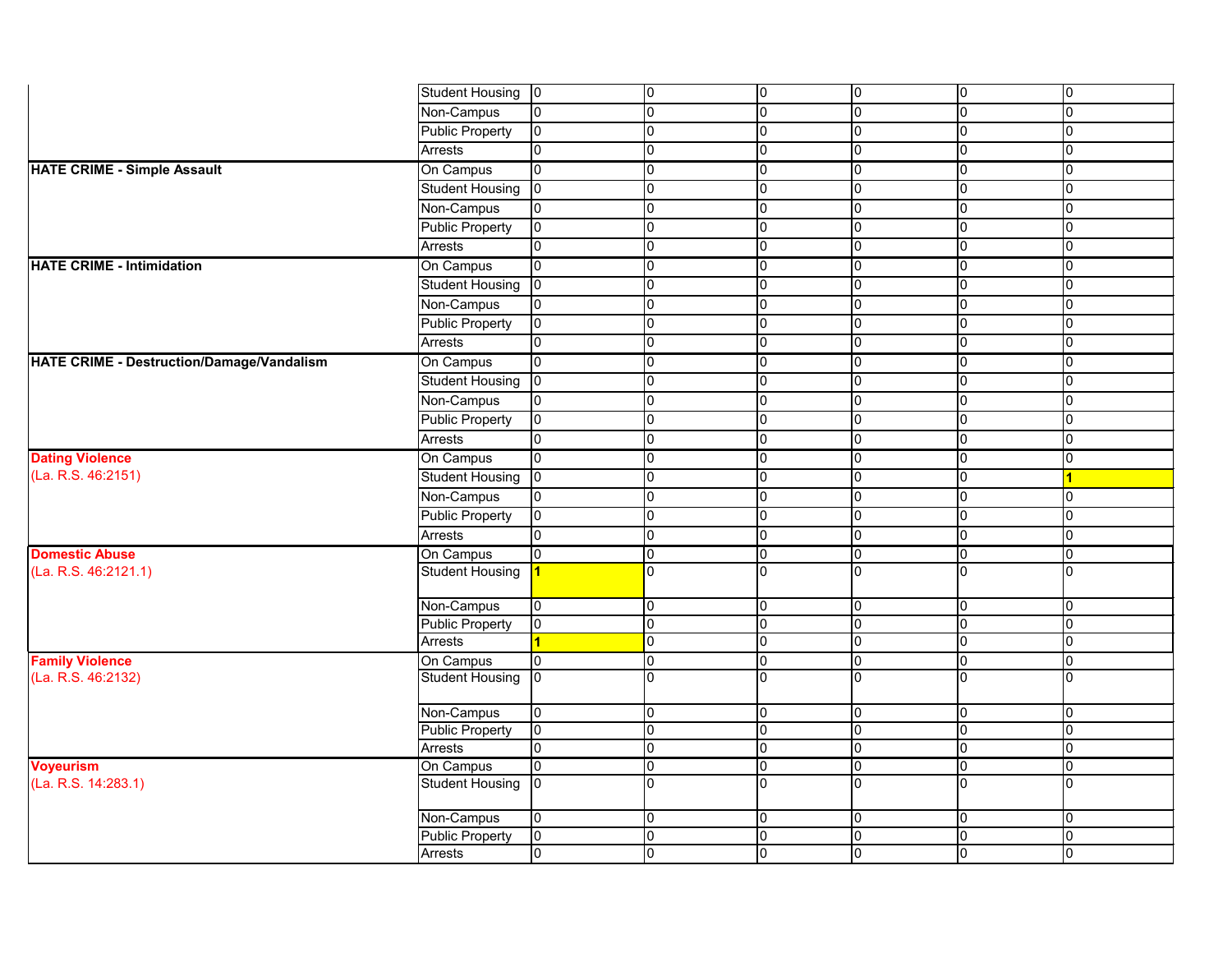|                                           | <b>Student Housing</b> | 0              | 10              | 0              | 10             | 10             | 0              |
|-------------------------------------------|------------------------|----------------|-----------------|----------------|----------------|----------------|----------------|
|                                           | Non-Campus             | 10             | 0               | 0              | $\overline{0}$ | l0             | $\overline{0}$ |
|                                           | <b>Public Property</b> | 10             | l0              | 0              | 0              | 0              | $\overline{0}$ |
|                                           | <b>Arrests</b>         | 10             | 0               | 0              | 0              | 0              | $\Omega$       |
| <b>HATE CRIME - Simple Assault</b>        | On Campus              | l0             | 10              | 0              | l0             | 10             | <sup>0</sup>   |
|                                           | <b>Student Housing</b> | $ 0\rangle$    | 0               | 0              | 0              | 0              | $\cap$         |
|                                           | Non-Campus             | 10             | 0               | 0              | 10             | 0              | $\overline{0}$ |
|                                           | <b>Public Property</b> | 10             | 10              | 0              | 0              | 0              | $\overline{0}$ |
|                                           | <b>Arrests</b>         | l0             | 0               | 0              | 0              | 0              |                |
| <b>HATE CRIME - Intimidation</b>          | On Campus              | l0             | 0               | 0              | 10             | 0              | $\overline{0}$ |
|                                           | <b>Student Housing</b> | $ 0\rangle$    | 0               | 0              | 0              | 0              | $\overline{0}$ |
|                                           | Non-Campus             | 10             | 0               | 0              | 0              | 0              | $\cap$         |
|                                           | <b>Public Property</b> | 10             | 10              | 0              | 10             | 0              | $\overline{0}$ |
|                                           | <b>Arrests</b>         | l0             | l0              | 0              | l0             | 0              | 0              |
| HATE CRIME - Destruction/Damage/Vandalism | On Campus              | l0             | 10              | 0              | 10             | 0              | $\cap$         |
|                                           | <b>Student Housing</b> | $\overline{0}$ | l0              | 0              | 0              | $\mathbf 0$    | $\overline{0}$ |
|                                           | Non-Campus             | 10             | 0               | 0              | 0              | 0              | $\overline{0}$ |
|                                           | <b>Public Property</b> | 10             | 10              | $\mathbf 0$    | l0             | l0             | $\overline{0}$ |
|                                           | <b>Arrests</b>         | l0             | l0              | 0              | l0             | 0              | $\overline{0}$ |
| <b>Dating Violence</b>                    | On Campus              | l0             | 0               | 0              | 10             | 0              | $\cap$         |
| (La. R.S. 46:2151)                        | Student Housing        | $\overline{0}$ | 0               | 0              | l0             | 0              |                |
|                                           | Non-Campus             | 10             | 0               | 0              | 0              | 0              | 0              |
|                                           | <b>Public Property</b> | 10             | 10              | 0              | l0             | 0              | 0              |
|                                           | Arrests                | 0              | 0               | 0              | l0             | 0              | $\mathbf 0$    |
| <b>Domestic Abuse</b>                     | On Campus              | l0             | $\overline{0}$  | 0              | 10             | l0             | l0             |
| (La. R.S. 46:2121.1)                      | <b>Student Housing</b> |                | $\overline{0}$  | $\overline{0}$ | l0             | l0.            | I٥             |
|                                           | Non-Campus             | 10             | 10              | 0              | 10             | l0             | $\overline{0}$ |
|                                           | Public Property        | l0             | l0              | 0              | l0             | l0             | 0              |
|                                           | Arrests                | 1              | $\vert 0 \vert$ | $\overline{0}$ | $\overline{0}$ | 10             | 10             |
| <b>Family Violence</b>                    | On Campus              | 10             | 0               | $\overline{0}$ | 10             | 10             | $\overline{0}$ |
| (La. R.S. 46:2132)                        | <b>Student Housing</b> | $\overline{0}$ | l0              | 0              | l0             | l0             | $\overline{0}$ |
|                                           | Non-Campus             | lo.            | 0               | 0              | 10             | 0              | 0              |
|                                           | <b>Public Property</b> | 10             | 0               | 0              | $\overline{0}$ | 0              | $\overline{0}$ |
|                                           | Arrests                | l0             | l0              | 0              | 0              | 0              | $\mathbf 0$    |
| <b>Voyeurism</b>                          | On Campus              | 0              | $\overline{0}$  | 0              | 10             | 0              | 0              |
| (La. R.S. 14:283.1)                       | <b>Student Housing</b> | $ 0\rangle$    | I٥              | 0              | l0             | 0              | l0             |
|                                           | Non-Campus             | 0              | 0               | $\overline{0}$ | 10             | $\overline{0}$ | $\overline{0}$ |
|                                           | <b>Public Property</b> | 0              | 0               | 0              | $\overline{0}$ | 0              | $\overline{0}$ |
|                                           | Arrests                | l0             | $\overline{0}$  | $\overline{0}$ | $\overline{0}$ | $\overline{0}$ | 0              |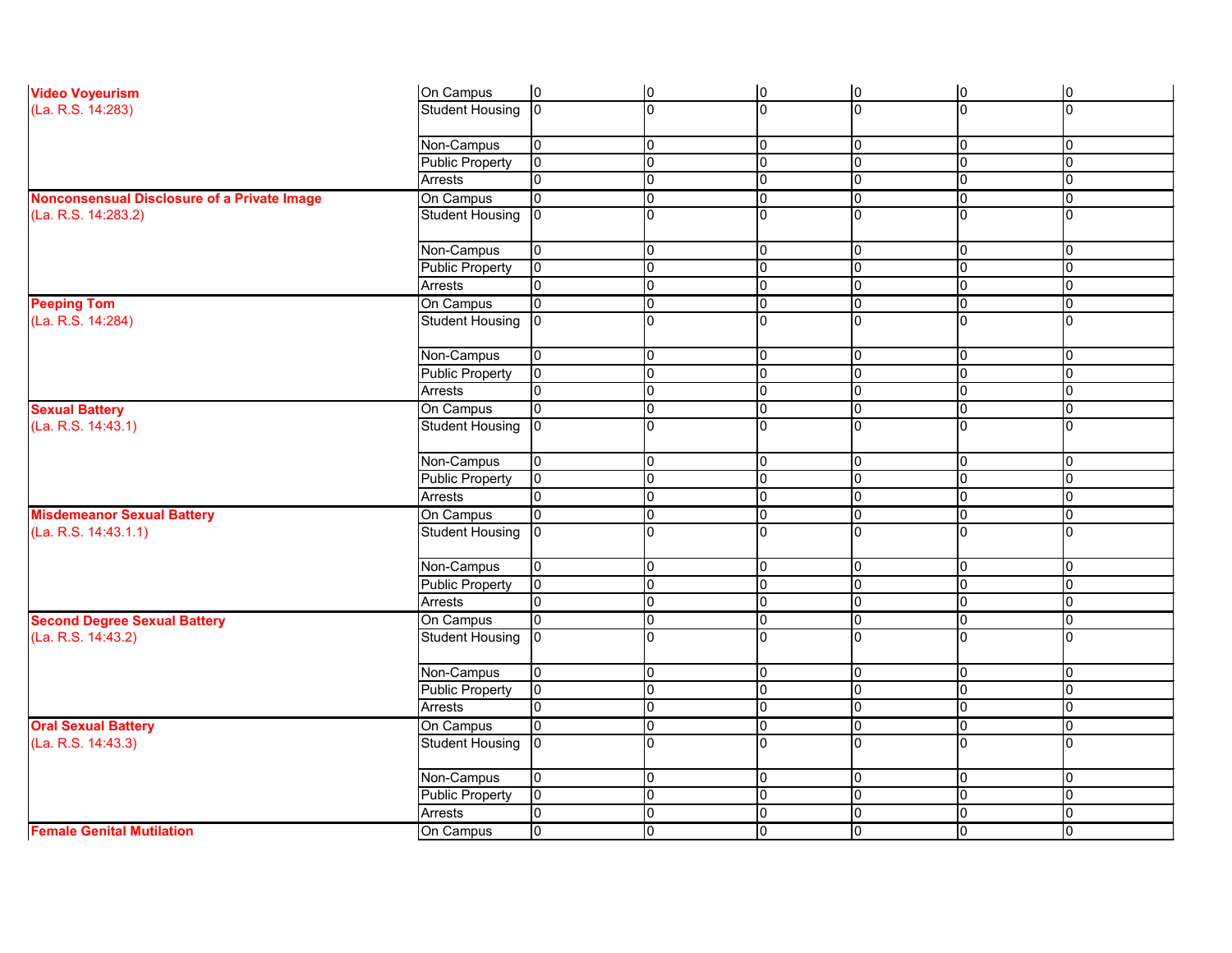| <b>Video Voyeurism</b>                      | On Campus              | $ 0\rangle$    | $ 0\rangle$    | lo.            | $ 0\rangle$    | $ 0\rangle$    | 0           |
|---------------------------------------------|------------------------|----------------|----------------|----------------|----------------|----------------|-------------|
| (La. R.S. 14:283)                           | <b>Student Housing</b> | l0             | l0             | l0             | $\overline{0}$ | I0             | 10          |
|                                             |                        |                |                |                |                |                |             |
|                                             | Non-Campus             | $\overline{0}$ | 0              | 0              | 0              | 10             | 0           |
|                                             | <b>Public Property</b> | l0             | 0              | 0              | 0              | 0              | 0           |
|                                             | <b>Arrests</b>         |                | $\mathbf 0$    | 0              | 0              | 10             | 10          |
| Nonconsensual Disclosure of a Private Image | On Campus              | $\overline{0}$ | 0              | 0              | 0              | 0              | Iо          |
| (La. R.S. 14:283.2)                         | <b>Student Housing</b> | Iо             | $\overline{0}$ | ∩              | $\Omega$       |                | 0           |
|                                             | Non-Campus             | 0              | 0              | 0              | 0              | 0              | Iо          |
|                                             | <b>Public Property</b> | 10             | l0             | 10             | 0              | 0              | 10          |
|                                             | <b>Arrests</b>         | l0             | $\overline{0}$ | l0             | 0              | l0             | 10          |
| <b>Peeping Tom</b>                          | On Campus              | $\overline{0}$ | 0              | 0              | 0              | 0              | 10          |
| (La. R.S. 14:284)                           | <b>Student Housing</b> | l0             | $\overline{0}$ | l0             | $\Omega$       | I٥             | l0          |
|                                             | Non-Campus             | 0              | l0             | 0              | 0              | 0              | 10          |
|                                             | <b>Public Property</b> | 0              | 0              | 0              | 0              | l0             | 0           |
|                                             | <b>Arrests</b>         | l0             | $\mathbf 0$    | 0              | 0              | $\overline{0}$ | 0           |
| <b>Sexual Battery</b>                       | On Campus              | 0              | l0             | $\overline{0}$ | 0              | 0              | 10          |
| (La. R.S. 14:43.1)                          | <b>Student Housing</b> | l0             | $\Omega$       | ∩              | 0              | In             | I0          |
|                                             |                        |                |                |                |                |                |             |
|                                             | Non-Campus             | 0              | 0              | 0              | 0              | 0              | 10          |
|                                             | <b>Public Property</b> | $\overline{0}$ | $\overline{0}$ | 0              | $\overline{0}$ | l0             | 10          |
|                                             | <b>Arrests</b>         | l0             | $\mathbf 0$    | 0              | 0              | l0             | 0           |
| <b>Misdemeanor Sexual Battery</b>           | On Campus              | l0             | 0              | 0              | 0              | 0              | Iо          |
| (La. R.S. 14:43.1.1)                        | <b>Student Housing</b> | l0             | $\Omega$       | l0             | U              |                | l0          |
|                                             | Non-Campus             | l0             | 0              | 0              | 0              | 0              | 10          |
|                                             | <b>Public Property</b> | 0              | 0              | 0              | 0              | $\overline{0}$ | 10          |
|                                             | <b>Arrests</b>         | l0             | 0              | 0              | 0              | 0              | 0           |
| <b>Second Degree Sexual Battery</b>         | On Campus              | 0              | 10             | 10             | 0              | 10             | 10          |
| (La. R.S. 14:43.2)                          | Student Housing   0    |                | 10             |                | 10             | 10             | 10          |
|                                             | Non-Campus             | 0              | 0              | 0              | 0              | 10             | 10          |
|                                             | <b>Public Property</b> | l0             | $\mathbf 0$    | l0             | 0              | I0             | 10          |
|                                             | Arrests                |                | 0              | 0              | 0              | 0              | Iо          |
| <b>Oral Sexual Battery</b>                  | On Campus              | 0              | 0              | 0              | 0              | 0              | $ 0\rangle$ |
| (La. R.S. 14:43.3)                          | <b>Student Housing</b> | l0             | l0             | $\Omega$       | $\mathbf 0$    | I۵             | 10          |
|                                             | Non-Campus             | l0             | l0             | $\overline{0}$ | 0              | 10             | 10          |
|                                             | <b>Public Property</b> | $\overline{0}$ | 0              | 0              | 0              | l0             | 0           |
|                                             | Arrests                | 0              | 0              | 0              | 0              | $\overline{0}$ | 10          |
| <b>Female Genital Mutilation</b>            | On Campus              | $\overline{0}$ | lо             | 0              | $\overline{0}$ | 0              | $ 0\rangle$ |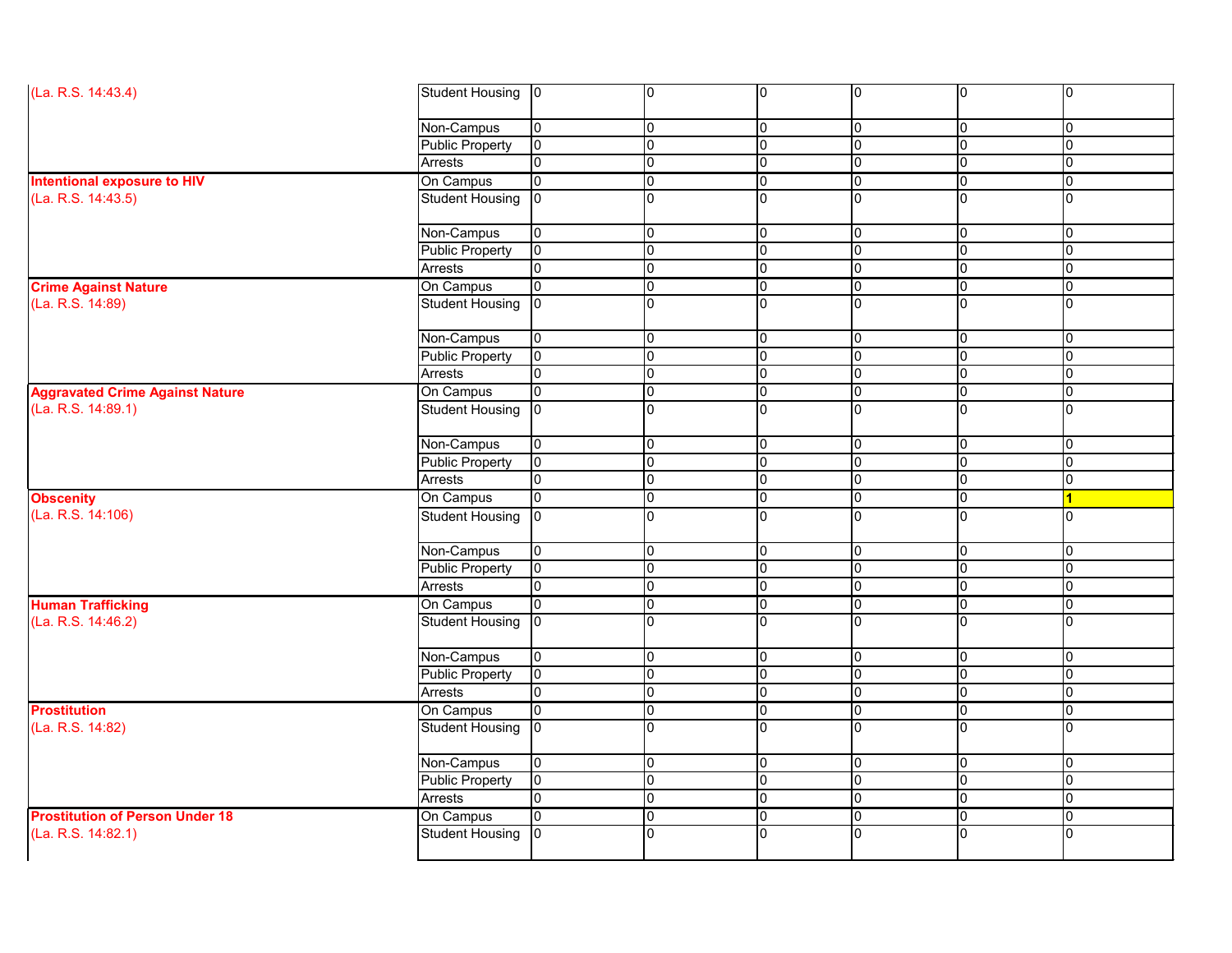| (La. R.S. 14:43.4)                                                                                                                                                                  | <b>Student Housing</b> | $ 0\rangle$    | 10             | $\overline{0}$ | l0             | ∩        | 0              |
|-------------------------------------------------------------------------------------------------------------------------------------------------------------------------------------|------------------------|----------------|----------------|----------------|----------------|----------|----------------|
|                                                                                                                                                                                     |                        |                |                |                |                |          |                |
|                                                                                                                                                                                     | Non-Campus             | $\overline{0}$ | 0              | 10             | 0              | 0        | 0              |
|                                                                                                                                                                                     | <b>Public Property</b> | 0              | $\overline{0}$ | Iо             | l0             |          | 0              |
|                                                                                                                                                                                     | <b>Arrests</b>         | 0              | l0             | l0             | $\overline{0}$ |          | 0              |
|                                                                                                                                                                                     | On Campus              | 0              | $\mathbf 0$    | Iо             | 0              |          | 0              |
|                                                                                                                                                                                     | Student Housing        |                | $\Omega$       | Iо             | l0             |          | 0              |
|                                                                                                                                                                                     |                        |                |                |                |                |          |                |
|                                                                                                                                                                                     | Non-Campus             | 0              | 0              | 10             | 0              | 0        | 0              |
|                                                                                                                                                                                     | <b>Public Property</b> | 0              | $\mathbf 0$    | Iо             | 0              |          | 0              |
|                                                                                                                                                                                     | Arrests                | 0              | 0              | l0             | l0             |          | 0              |
|                                                                                                                                                                                     | On Campus              | 0              | $\overline{0}$ | $\overline{0}$ | 0              | 0        | 0              |
| (La. R.S. 14:89)                                                                                                                                                                    | <b>Student Housing</b> |                | ∩              | l0             | l0             |          | 0              |
|                                                                                                                                                                                     |                        |                |                |                |                |          |                |
|                                                                                                                                                                                     | Non-Campus             | 0              | $\overline{0}$ | 10             | 0              |          | 0              |
|                                                                                                                                                                                     | <b>Public Property</b> | $\overline{0}$ | 0              | l0             | l0             |          | 0              |
|                                                                                                                                                                                     | Arrests                |                | $\overline{0}$ | Iо             | l0             |          | 0              |
| <b>Aggravated Crime Against Nature</b>                                                                                                                                              | On Campus              | 0              | 0              | l0             | l0             |          | 0              |
| (La. R.S. 14:89.1)                                                                                                                                                                  | <b>Student Housing</b> |                | $\Omega$       | l0             | $\overline{0}$ |          | $\overline{0}$ |
|                                                                                                                                                                                     |                        |                |                |                |                |          |                |
|                                                                                                                                                                                     | Non-Campus             | $\mathbf 0$    | l0             | l0             | l0             |          | 0              |
|                                                                                                                                                                                     | <b>Public Property</b> | 0              | $\overline{0}$ | Iо             | $\overline{0}$ |          | $\mathbf 0$    |
|                                                                                                                                                                                     | <b>Arrests</b>         |                | $\mathbf 0$    | Iо             | l0             |          | 0              |
| <b>Obscenity</b>                                                                                                                                                                    | On Campus              | 0              | $\mathbf 0$    | Iо             | $\overline{0}$ |          |                |
| (La. R.S. 14:106)                                                                                                                                                                   | <b>Student Housing</b> |                | $\Omega$       | l0             | $\Omega$       |          | 0              |
|                                                                                                                                                                                     |                        |                |                |                |                |          |                |
|                                                                                                                                                                                     | Non-Campus             | 0              | 0              | Iо             | 0              | 10       | 0              |
|                                                                                                                                                                                     | Public Property        | 0              | 0              | 10             | l0             |          | 0              |
| <b>Intentional exposure to HIV</b><br>(La. R.S. 14:43.5)<br><b>Crime Against Nature</b><br><b>Human Trafficking</b><br>(La. R.S. 14:46.2)<br><b>Prostitution of Person Under 18</b> | Arrests                | U              | 0              | 10             | $\mathbf 0$    |          | 0              |
|                                                                                                                                                                                     | On Campus              |                | 0              | $\overline{0}$ | l0             |          | 0              |
|                                                                                                                                                                                     | <b>Student Housing</b> | $\overline{0}$ | 0              | Iо             | 0              |          | 0              |
|                                                                                                                                                                                     |                        |                |                |                |                |          |                |
|                                                                                                                                                                                     | Non-Campus             | 0              | 0              | l0             | 0              | ∩        | 0              |
|                                                                                                                                                                                     | <b>Public Property</b> | $\overline{0}$ | 0              | 0              | $\mathbf 0$    |          | 0              |
|                                                                                                                                                                                     | Arrests                | 0              | 0              | l0             | $\overline{0}$ |          | 0              |
| <b>Prostitution</b>                                                                                                                                                                 | On Campus              | 0              | $\overline{0}$ | $\overline{0}$ | l0             | 0        | 0              |
| (La. R.S. 14:82)                                                                                                                                                                    | <b>Student Housing</b> |                | $\Omega$       | l0             | l0             |          | $\overline{0}$ |
|                                                                                                                                                                                     |                        |                |                |                |                |          |                |
|                                                                                                                                                                                     | Non-Campus             | $\overline{0}$ | $\overline{0}$ | l0             | 0              | ∩        | 0              |
|                                                                                                                                                                                     | <b>Public Property</b> | $\mathbf 0$    | 0              | Iо             | $\overline{0}$ | $\Omega$ | 0              |
|                                                                                                                                                                                     | <b>Arrests</b>         | 0              | 0              | l0             | 0              |          | 0              |
|                                                                                                                                                                                     | On Campus              | $\overline{0}$ | 0              | l0             | $\overline{0}$ |          | $\overline{0}$ |
| (La. R.S. 14:82.1)                                                                                                                                                                  | <b>Student Housing</b> | l0             | $\Omega$       | Iо             | l0             |          | $\overline{0}$ |
|                                                                                                                                                                                     |                        |                |                |                |                |          |                |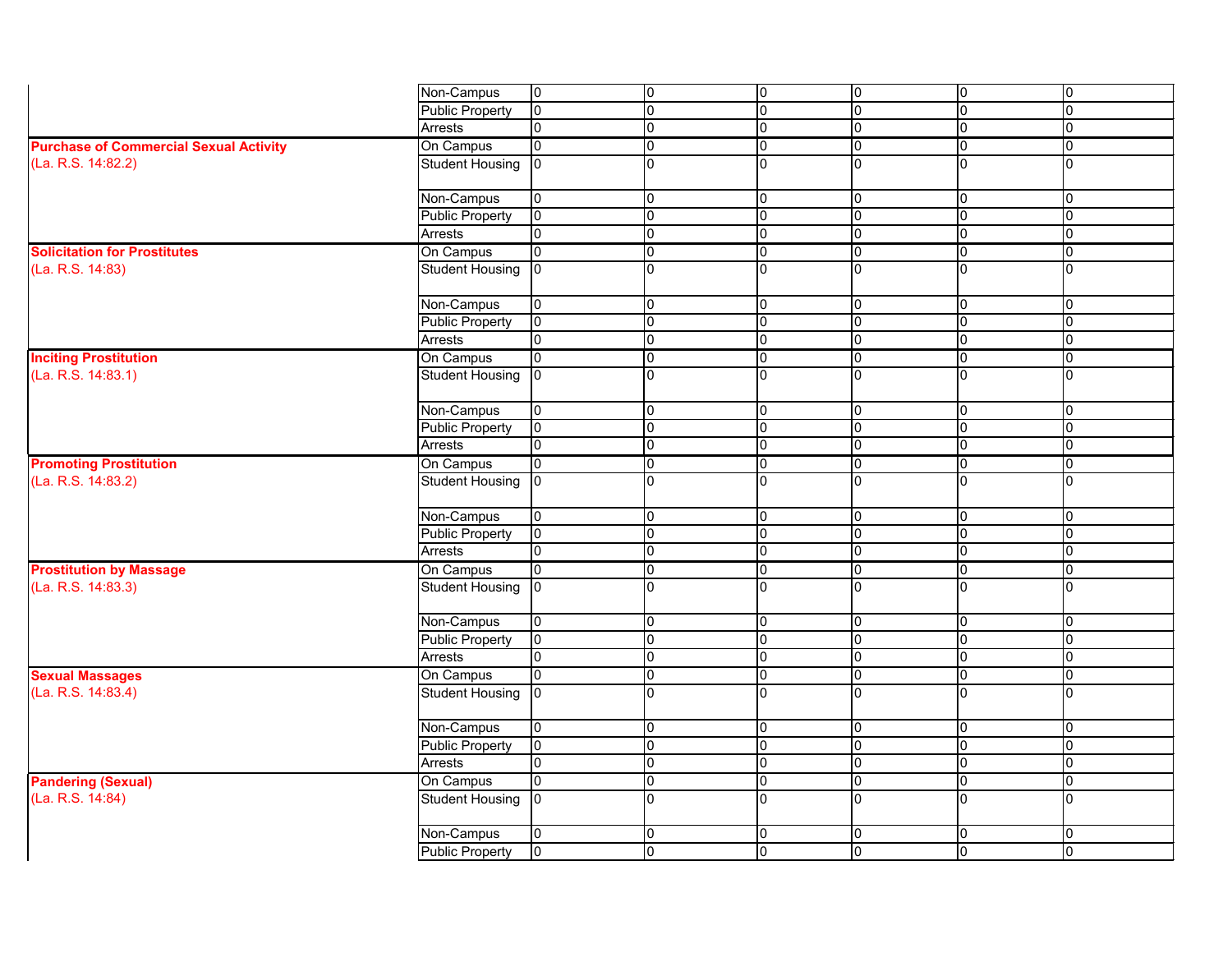|                                               | Non-Campus             | $\overline{0}$  | l0             | $\overline{0}$ | $\pmb{0}$      | 10  | 10             |
|-----------------------------------------------|------------------------|-----------------|----------------|----------------|----------------|-----|----------------|
|                                               | <b>Public Property</b> | 0               | $\overline{0}$ | 0              | $\mathbf 0$    | 0   | 0              |
|                                               | Arrests                | 10              | l0             | 0              | 0              | l0  | 10             |
| <b>Purchase of Commercial Sexual Activity</b> | On Campus              | l0              | l0             | 0              | 0              | l0  | 0              |
| (La. R.S. 14:82.2)                            | <b>Student Housing</b> | $ 0\rangle$     | l0             | $\Omega$       | $\overline{0}$ | I٥  | I0             |
|                                               | Non-Campus             | 0               | $\overline{0}$ | $\overline{0}$ | $\mathbf 0$    | 10  | 0              |
|                                               | <b>Public Property</b> | 10              | 0              | 0              | 0              | I0  | 0              |
|                                               | <b>Arrests</b>         | l0              | $\overline{0}$ | $\mathbf 0$    | $\mathbf 0$    | 10  | 0              |
| <b>Solicitation for Prostitutes</b>           |                        | 10              | 0              | 0              | $\overline{0}$ | 10  | 10             |
| (La. R.S. 14:83)                              | On Campus              | $ 0\rangle$     | 0              | $\mathbf 0$    | $\overline{0}$ | IO. | 0              |
|                                               | <b>Student Housing</b> |                 |                |                |                |     |                |
|                                               | Non-Campus             | 10              | 0              | 0              | 0              | 10  | 10             |
|                                               | <b>Public Property</b> | l0              | $\overline{0}$ | $\mathbf 0$    | $\mathbf 0$    | 10  | 0              |
|                                               | Arrests                | 10              | $\overline{0}$ | 0              | $\pmb{0}$      | 0   | 0              |
| <b>Inciting Prostitution</b>                  | On Campus              | 10              | 0              | 0              | 0              | 10  | IO.            |
| (La. R.S. 14:83.1)                            | <b>Student Housing</b> | l0              | l0             | $\mathbf 0$    | $\overline{0}$ | Io  | l0             |
|                                               | Non-Campus             | 10              | 0              | $\overline{0}$ | $\overline{0}$ | 10  | 10             |
|                                               | <b>Public Property</b> | 10              | 0              | $\overline{0}$ | $\pmb{0}$      | Iо  | 10             |
|                                               | Arrests                | Iо              | l0             | $\overline{0}$ | $\mathbf 0$    | Iо  | I0             |
| <b>Promoting Prostitution</b>                 | On Campus              | $\overline{10}$ | $\overline{0}$ | $\overline{0}$ | $\overline{0}$ | 10  | 10             |
| (La. R.S. 14:83.2)                            | <b>Student Housing</b> | $\overline{0}$  | l0             | <sup>n</sup>   | $\Omega$       | I۵  | l0             |
|                                               | Non-Campus             | 0               | $\overline{0}$ | $\overline{0}$ | $\mathbf 0$    | lo. | 0              |
|                                               | <b>Public Property</b> | lo.             | l0             | 0              | 0              | 10  | 0              |
|                                               | <b>Arrests</b>         | l0              | 0              | 0              | $\overline{0}$ | l0  | 0              |
| <b>Prostitution by Massage</b>                | On Campus              | 10              | 0              | 0              | 0              | 10  | 10             |
| (La. R.S. 14:83.3)                            | <b>Student Housing</b> | $\overline{0}$  | $\overline{0}$ | $\Omega$       | $\Omega$       | I٥  | l0             |
|                                               | Non-Campus             | 10              | 0              | 0              | l0             | 10  | 10             |
|                                               | <b>Public Property</b> | $ 0\rangle$     | $\overline{0}$ | 10             | 10             | 0   | $ 0\rangle$    |
|                                               | Arrests                | l0              | $\overline{0}$ | $\overline{0}$ | $\mathbf 0$    | l0  | 0              |
| <b>Sexual Massages</b>                        | On Campus              | $\overline{0}$  | $\overline{0}$ | 0              | $\pmb{0}$      | l0  | 10             |
| (La. R.S. 14:83.4)                            | <b>Student Housing</b> | Iо              | $\overline{0}$ | 0              | $\overline{0}$ | 10  | 0              |
|                                               | Non-Campus             | lo.             | $\overline{0}$ | 0              | $\pmb{0}$      | 10  | 0              |
|                                               | <b>Public Property</b> | $\overline{0}$  | $\overline{0}$ | 0              | $\pmb{0}$      | 10  | l0             |
|                                               | Arrests                | l0              | $\mathbf 0$    | 0              | $\mathbf 0$    | l0  | 0              |
| <b>Pandering (Sexual)</b>                     | On Campus              | $\overline{0}$  | $\overline{0}$ | 0              | $\pmb{0}$      | 10  | 10             |
| (La. R.S. 14:84)                              | <b>Student Housing</b> | $\overline{0}$  | l0             | $\Omega$       | $\overline{0}$ | IO. | 10             |
|                                               | Non-Campus             | 0               | 0              | 0              | $\overline{0}$ | 10  | 10             |
|                                               | <b>Public Property</b> | $\overline{0}$  | $\overline{0}$ | $\overline{0}$ | $\overline{0}$ | 0   | $\overline{0}$ |